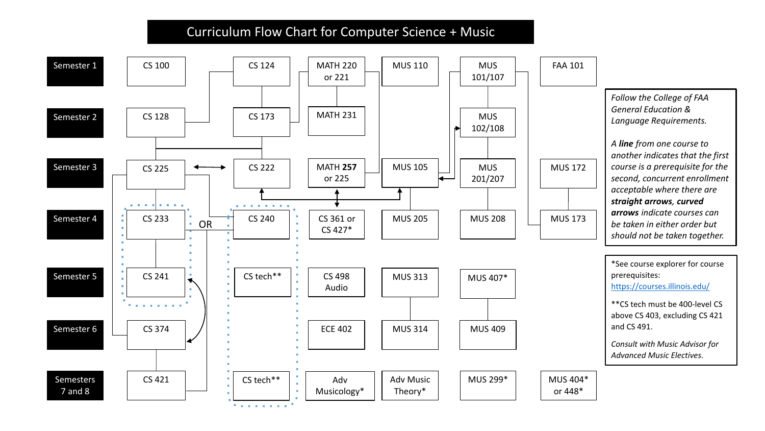## Curriculum Flow Chart for Computer Science + Music